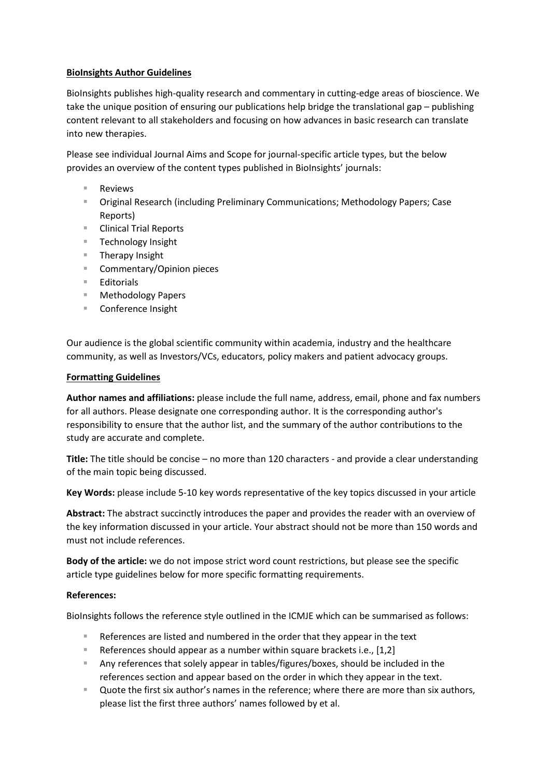## **BioInsights Author Guidelines**

BioInsights publishes high-quality research and commentary in cutting-edge areas of bioscience. We take the unique position of ensuring our publications help bridge the translational gap – publishing content relevant to all stakeholders and focusing on how advances in basic research can translate into new therapies.

Please see individual Journal Aims and Scope for journal-specific article types, but the below provides an overview of the content types published in BioInsights' journals:

- Reviews
- Original Research (including Preliminary Communications; Methodology Papers; Case Reports)
- Clinical Trial Reports
- **Technology Insight**
- Therapy Insight
- Commentary/Opinion pieces
- Editorials
- Methodology Papers
- Conference Insight

Our audience is the global scientific community within academia, industry and the healthcare community, as well as Investors/VCs, educators, policy makers and patient advocacy groups.

## **Formatting Guidelines**

**Author names and affiliations:** please include the full name, address, email, phone and fax numbers for all authors. Please designate one corresponding author. It is the corresponding author's responsibility to ensure that the author list, and the summary of the author contributions to the study are accurate and complete.

**Title:** The title should be concise – no more than 120 characters - and provide a clear understanding of the main topic being discussed.

**Key Words:** please include 5-10 key words representative of the key topics discussed in your article

**Abstract:** The abstract succinctly introduces the paper and provides the reader with an overview of the key information discussed in your article. Your abstract should not be more than 150 words and must not include references.

**Body of the article:** we do not impose strict word count restrictions, but please see the specific article type guidelines below for more specific formatting requirements.

# **References:**

BioInsights follows the reference style outlined in the ICMJE which can be summarised as follows:

- References are listed and numbered in the order that they appear in the text
- **References should appear as a number within square brackets i.e., [1,2]**
- Any references that solely appear in tables/figures/boxes, should be included in the references section and appear based on the order in which they appear in the text.
- Quote the first six author's names in the reference; where there are more than six authors, please list the first three authors' names followed by et al.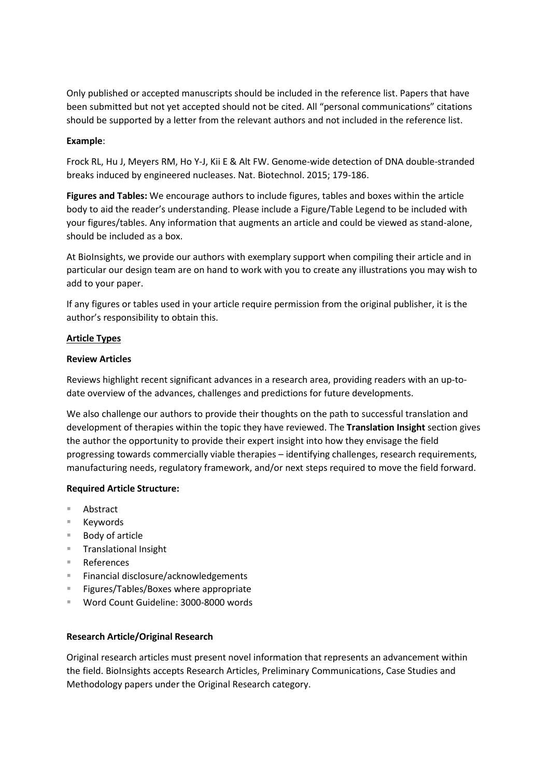Only published or accepted manuscripts should be included in the reference list. Papers that have been submitted but not yet accepted should not be cited. All "personal communications" citations should be supported by a letter from the relevant authors and not included in the reference list.

### **Example**:

Frock RL, Hu J, Meyers RM, Ho Y-J, Kii E & Alt FW. Genome-wide detection of DNA double-stranded breaks induced by engineered nucleases. Nat. Biotechnol. 2015; 179-186.

**Figures and Tables:** We encourage authors to include figures, tables and boxes within the article body to aid the reader's understanding. Please include a Figure/Table Legend to be included with your figures/tables. Any information that augments an article and could be viewed as stand-alone, should be included as a box.

At BioInsights, we provide our authors with exemplary support when compiling their article and in particular our design team are on hand to work with you to create any illustrations you may wish to add to your paper.

If any figures or tables used in your article require permission from the original publisher, it is the author's responsibility to obtain this.

### **Article Types**

### **Review Articles**

Reviews highlight recent significant advances in a research area, providing readers with an up-todate overview of the advances, challenges and predictions for future developments.

We also challenge our authors to provide their thoughts on the path to successful translation and development of therapies within the topic they have reviewed. The **Translation Insight** section gives the author the opportunity to provide their expert insight into how they envisage the field progressing towards commercially viable therapies – identifying challenges, research requirements, manufacturing needs, regulatory framework, and/or next steps required to move the field forward.

### **Required Article Structure:**

- Abstract
- Keywords
- Body of article
- Translational Insight
- References
- Financial disclosure/acknowledgements
- Figures/Tables/Boxes where appropriate
- Word Count Guideline: 3000-8000 words

### **Research Article/Original Research**

Original research articles must present novel information that represents an advancement within the field. BioInsights accepts Research Articles, Preliminary Communications, Case Studies and Methodology papers under the Original Research category.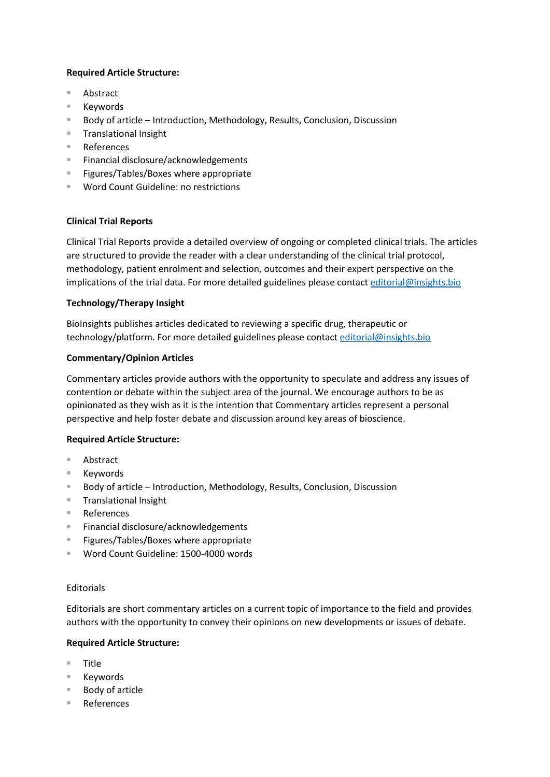## **Required Article Structure:**

- Abstract
- Keywords
- Body of article Introduction, Methodology, Results, Conclusion, Discussion
- **Translational Insight**
- References
- Financial disclosure/acknowledgements
- **Figures/Tables/Boxes where appropriate**
- Word Count Guideline: no restrictions

### **Clinical Trial Reports**

Clinical Trial Reports provide a detailed overview of ongoing or completed clinical trials. The articles are structured to provide the reader with a clear understanding of the clinical trial protocol, methodology, patient enrolment and selection, outcomes and their expert perspective on the implications of the trial data. For more detailed guidelines please contact [editorial@insights.bio](mailto:editorial@insights.bio)

## **Technology/Therapy Insight**

BioInsights publishes articles dedicated to reviewing a specific drug, therapeutic or technology/platform. For more detailed guidelines please contact [editorial@insights.bio](mailto:editorial@insights.bio)

# **Commentary/Opinion Articles**

Commentary articles provide authors with the opportunity to speculate and address any issues of contention or debate within the subject area of the journal. We encourage authors to be as opinionated as they wish as it is the intention that Commentary articles represent a personal perspective and help foster debate and discussion around key areas of bioscience.

### **Required Article Structure:**

- Abstract
- Keywords
- Body of article Introduction, Methodology, Results, Conclusion, Discussion
- **Translational Insight**
- References
- Financial disclosure/acknowledgements
- Figures/Tables/Boxes where appropriate
- Word Count Guideline: 1500-4000 words

### Editorials

Editorials are short commentary articles on a current topic of importance to the field and provides authors with the opportunity to convey their opinions on new developments or issues of debate.

### **Required Article Structure:**

- Title
- Keywords
- Body of article
- References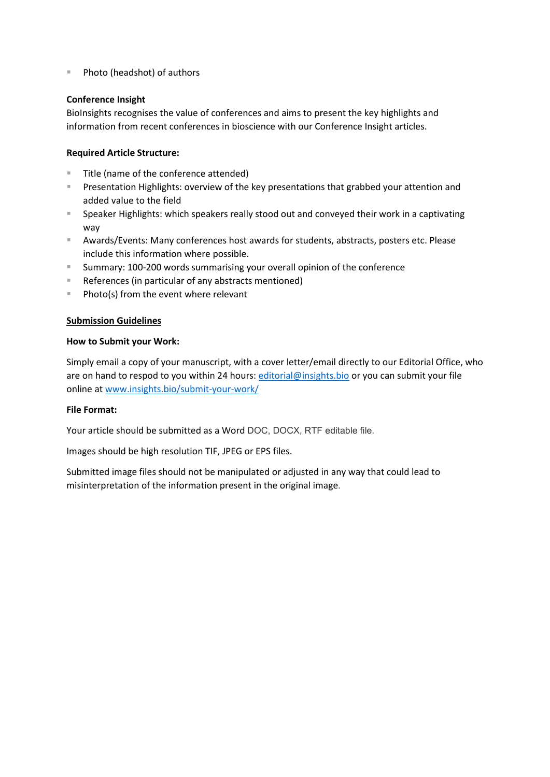■ Photo (headshot) of authors

## **Conference Insight**

BioInsights recognises the value of conferences and aims to present the key highlights and information from recent conferences in bioscience with our Conference Insight articles.

## **Required Article Structure:**

- Title (name of the conference attended)
- **Presentation Highlights: overview of the key presentations that grabbed your attention and** added value to the field
- Speaker Highlights: which speakers really stood out and conveyed their work in a captivating way
- Awards/Events: Many conferences host awards for students, abstracts, posters etc. Please include this information where possible.
- **Summary: 100-200 words summarising your overall opinion of the conference**
- References (in particular of any abstracts mentioned)
- $\blacksquare$  Photo(s) from the event where relevant

### **Submission Guidelines**

### **How to Submit your Work:**

Simply email a copy of your manuscript, with a cover letter/email directly to our Editorial Office, who are on hand to respod to you within 24 hours: [editorial@insights.bio](mailto:editorial@insights.bio) or you can submit your file online at [www.insights.bio/submit-your-work/](http://www.insights.bio/submit-your-work/)

### **File Format:**

Your article should be submitted as a Word DOC, DOCX, RTF editable file.

Images should be high resolution TIF, JPEG or EPS files.

Submitted image files should not be manipulated or adjusted in any way that could lead to misinterpretation of the information present in the original image.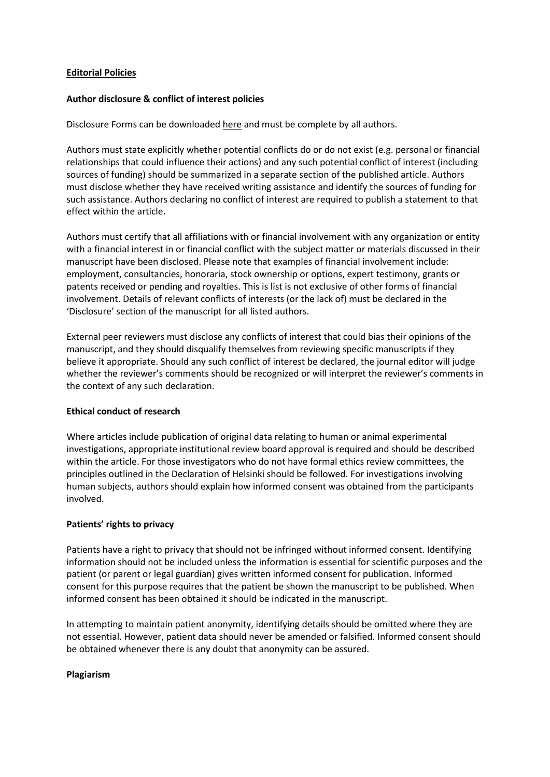### **Editorial Policies**

### **Author disclosure & conflict of interest policies**

Disclosure Forms can be downloaded here and must be complete by all authors.

Authors must state explicitly whether potential conflicts do or do not exist (e.g. personal or financial relationships that could influence their actions) and any such potential conflict of interest (including sources of funding) should be summarized in a separate section of the published article. Authors must disclose whether they have received writing assistance and identify the sources of funding for such assistance. Authors declaring no conflict of interest are required to publish a statement to that effect within the article.

Authors must certify that all affiliations with or financial involvement with any organization or entity with a financial interest in or financial conflict with the subject matter or materials discussed in their manuscript have been disclosed. Please note that examples of financial involvement include: employment, consultancies, honoraria, stock ownership or options, expert testimony, grants or patents received or pending and royalties. This is list is not exclusive of other forms of financial involvement. Details of relevant conflicts of interests (or the lack of) must be declared in the 'Disclosure' section of the manuscript for all listed authors.

External peer reviewers must disclose any conflicts of interest that could bias their opinions of the manuscript, and they should disqualify themselves from reviewing specific manuscripts if they believe it appropriate. Should any such conflict of interest be declared, the journal editor will judge whether the reviewer's comments should be recognized or will interpret the reviewer's comments in the context of any such declaration.

### **Ethical conduct of research**

Where articles include publication of original data relating to human or animal experimental investigations, appropriate institutional review board approval is required and should be described within the article. For those investigators who do not have formal ethics review committees, the principles outlined in the Declaration of Helsinki should be followed. For investigations involving human subjects, authors should explain how informed consent was obtained from the participants involved.

### **Patients' rights to privacy**

Patients have a right to privacy that should not be infringed without informed consent. Identifying information should not be included unless the information is essential for scientific purposes and the patient (or parent or legal guardian) gives written informed consent for publication. Informed consent for this purpose requires that the patient be shown the manuscript to be published. When informed consent has been obtained it should be indicated in the manuscript.

In attempting to maintain patient anonymity, identifying details should be omitted where they are not essential. However, patient data should never be amended or falsified. Informed consent should be obtained whenever there is any doubt that anonymity can be assured.

### **Plagiarism**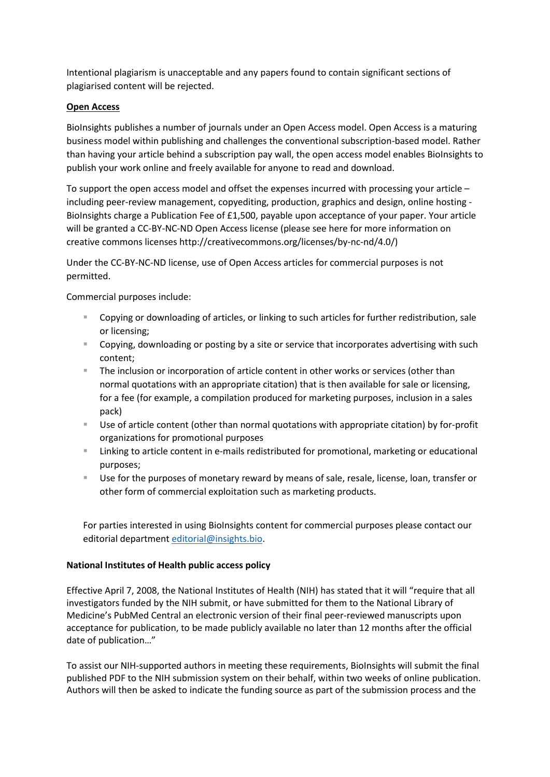Intentional plagiarism is unacceptable and any papers found to contain significant sections of plagiarised content will be rejected.

# **Open Access**

BioInsights publishes a number of journals under an Open Access model. Open Access is a maturing business model within publishing and challenges the conventional subscription-based model. Rather than having your article behind a subscription pay wall, the open access model enables BioInsights to publish your work online and freely available for anyone to read and download.

To support the open access model and offset the expenses incurred with processing your article – including peer-review management, copyediting, production, graphics and design, online hosting - BioInsights charge a Publication Fee of £1,500, payable upon acceptance of your paper. Your article will be granted a CC-BY-NC-ND Open Access license (please see here for more information on creative commons licenses http://creativecommons.org/licenses/by-nc-nd/4.0/)

Under the CC-BY-NC-ND license, use of Open Access articles for commercial purposes is not permitted.

Commercial purposes include:

- **Copying or downloading of articles, or linking to such articles for further redistribution, sale** or licensing;
- Copying, downloading or posting by a site or service that incorporates advertising with such content;
- **The inclusion or incorporation of article content in other works or services (other than** normal quotations with an appropriate citation) that is then available for sale or licensing, for a fee (for example, a compilation produced for marketing purposes, inclusion in a sales pack)
- Use of article content (other than normal quotations with appropriate citation) by for-profit organizations for promotional purposes
- **EXT** Linking to article content in e-mails redistributed for promotional, marketing or educational purposes;
- Use for the purposes of monetary reward by means of sale, resale, license, loan, transfer or other form of commercial exploitation such as marketing products.

For parties interested in using BioInsights content for commercial purposes please contact our editorial department [editorial@insights.bio.](mailto:editorial@insights.bio)

# **National Institutes of Health public access policy**

Effective April 7, 2008, the National Institutes of Health (NIH) has stated that it will "require that all investigators funded by the NIH submit, or have submitted for them to the National Library of Medicine's PubMed Central an electronic version of their final peer-reviewed manuscripts upon acceptance for publication, to be made publicly available no later than 12 months after the official date of publication…"

To assist our NIH-supported authors in meeting these requirements, BioInsights will submit the final published PDF to the NIH submission system on their behalf, within two weeks of online publication. Authors will then be asked to indicate the funding source as part of the submission process and the